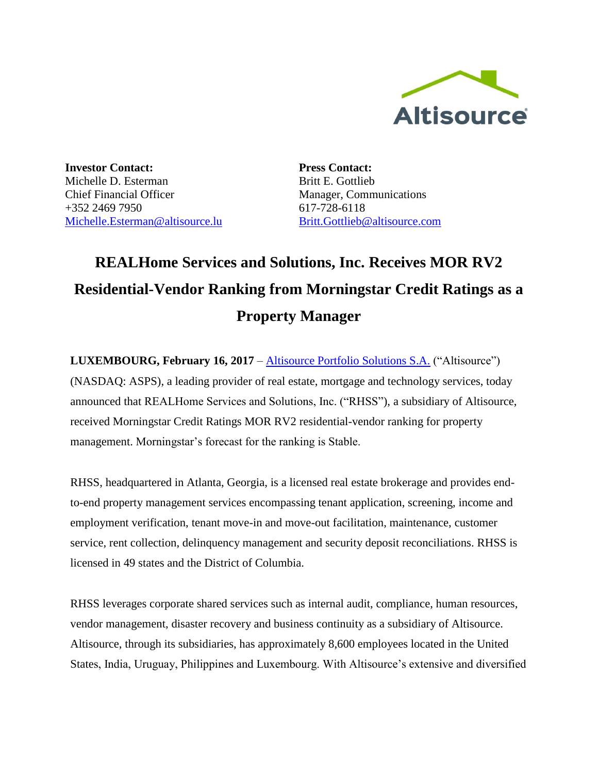

**Investor Contact:** Michelle D. Esterman Chief Financial Officer +352 2469 7950 [Michelle.Esterman@altisource.lu](mailto:Michelle.Esterman@altisource.lu) **Press Contact:** Britt E. Gottlieb Manager, Communications 617-728-6118 [Britt.Gottlieb@altisource.com](mailto:Britt.Gottlieb@altisource.com)

## **REALHome Services and Solutions, Inc. Receives MOR RV2 Residential-Vendor Ranking from Morningstar Credit Ratings as a Property Manager**

**LUXEMBOURG, February 16, 2017** – [Altisource Portfolio Solutions S.A.](https://www.altisource.com/?utm_campaign=MorningstarRating2017&utm_source=PR&utm_medium=PR&utm_content=first) ("Altisource") (NASDAQ: ASPS), a leading provider of real estate, mortgage and technology services, today announced that REALHome Services and Solutions, Inc. ("RHSS"), a subsidiary of Altisource, received Morningstar Credit Ratings MOR RV2 residential-vendor ranking for property management. Morningstar's forecast for the ranking is Stable.

RHSS, headquartered in Atlanta, Georgia, is a licensed real estate brokerage and provides endto-end property management services encompassing tenant application, screening, income and employment verification, tenant move-in and move-out facilitation, maintenance, customer service, rent collection, delinquency management and security deposit reconciliations. RHSS is licensed in 49 states and the District of Columbia.

RHSS leverages corporate shared services such as internal audit, compliance, human resources, vendor management, disaster recovery and business continuity as a subsidiary of Altisource. Altisource, through its subsidiaries, has approximately 8,600 employees located in the United States, India, Uruguay, Philippines and Luxembourg. With Altisource's extensive and diversified